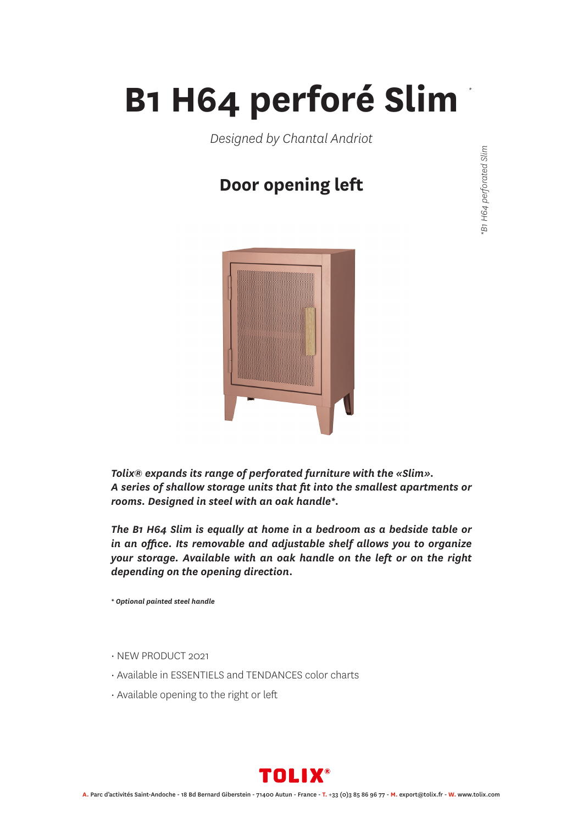## **B1 H64 perforé Slim**

*Designed by Chantal Andriot*

### **Door opening left**



*Tolix® expands its range of perforated furniture with the «Slim». A series of shallow storage units that fit into the smallest apartments or rooms. Designed in steel with an oak handle\*.*

*The B1 H64 Slim is equally at home in a bedroom as a bedside table or in an office. Its removable and adjustable shelf allows you to organize your storage. Available with an oak handle on the left or on the right depending on the opening direction.*

*\* Optional painted steel handle*

- NEW PRODUCT 2021
- Available in ESSENTIELS and TENDANCES color charts
- Available opening to the right or left



B1 H64 perforated Slim *\*B1 H64 perforated Slim*

*\**